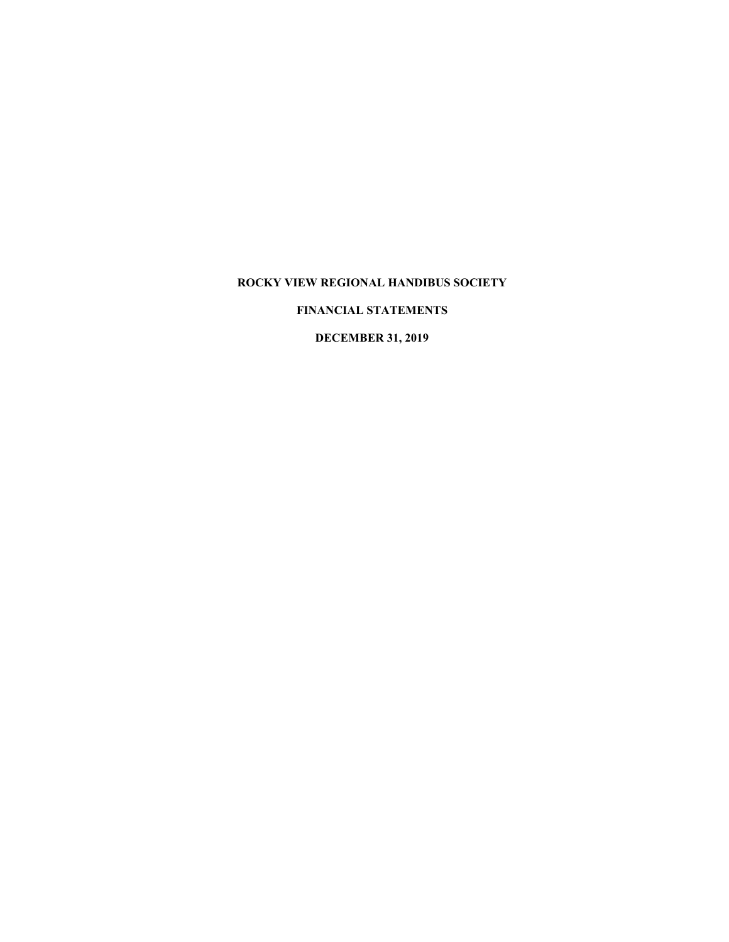### **FINANCIAL STATEMENTS**

## **DECEMBER 31, 2019**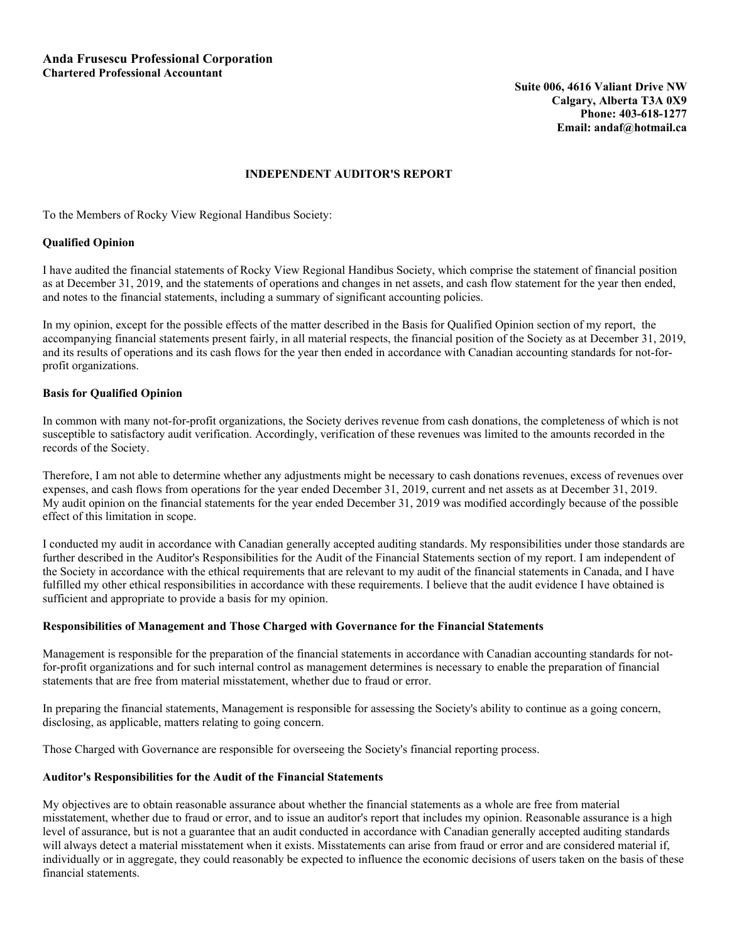**Suite 006, 4616 Valiant Drive NW Calgary, Alberta T3A 0X9 Phone: 403-618-1277 Email: andaf@hotmail.ca**

#### **INDEPENDENT AUDITOR'S REPORT**

To the Members of Rocky View Regional Handibus Society:

#### **Qualified Opinion**

I have audited the financial statements of Rocky View Regional Handibus Society, which comprise the statement of financial position as at December 31, 2019, and the statements of operations and changes in net assets, and cash flow statement for the year then ended, and notes to the financial statements, including a summary of significant accounting policies.

In my opinion, except for the possible effects of the matter described in the Basis for Qualified Opinion section of my report, the accompanying financial statements present fairly, in all material respects, the financial position of the Society as at December 31, 2019, and its results of operations and its cash flows for the year then ended in accordance with Canadian accounting standards for not-forprofit organizations.

#### **Basis for Qualified Opinion**

In common with many not-for-profit organizations, the Society derives revenue from cash donations, the completeness of which is not susceptible to satisfactory audit verification. Accordingly, verification of these revenues was limited to the amounts recorded in the records of the Society.

Therefore, I am not able to determine whether any adjustments might be necessary to cash donations revenues, excess of revenues over expenses, and cash flows from operations for the year ended December 31, 2019, current and net assets as at December 31, 2019. My audit opinion on the financial statements for the year ended December 31, 2019 was modified accordingly because of the possible effect of this limitation in scope.

I conducted my audit in accordance with Canadian generally accepted auditing standards. My responsibilities under those standards are further described in the Auditor's Responsibilities for the Audit of the Financial Statements section of my report. I am independent of the Society in accordance with the ethical requirements that are relevant to my audit of the financial statements in Canada, and I have fulfilled my other ethical responsibilities in accordance with these requirements. I believe that the audit evidence I have obtained is sufficient and appropriate to provide a basis for my opinion.

#### **Responsibilities of Management and Those Charged with Governance for the Financial Statements**

Management is responsible for the preparation of the financial statements in accordance with Canadian accounting standards for notfor-profit organizations and for such internal control as management determines is necessary to enable the preparation of financial statements that are free from material misstatement, whether due to fraud or error.

In preparing the financial statements, Management is responsible for assessing the Society's ability to continue as a going concern, disclosing, as applicable, matters relating to going concern.

Those Charged with Governance are responsible for overseeing the Society's financial reporting process.

#### **Auditor's Responsibilities for the Audit of the Financial Statements**

My objectives are to obtain reasonable assurance about whether the financial statements as a whole are free from material misstatement, whether due to fraud or error, and to issue an auditor's report that includes my opinion. Reasonable assurance is a high level of assurance, but is not a guarantee that an audit conducted in accordance with Canadian generally accepted auditing standards will always detect a material misstatement when it exists. Misstatements can arise from fraud or error and are considered material if, individually or in aggregate, they could reasonably be expected to influence the economic decisions of users taken on the basis of these financial statements.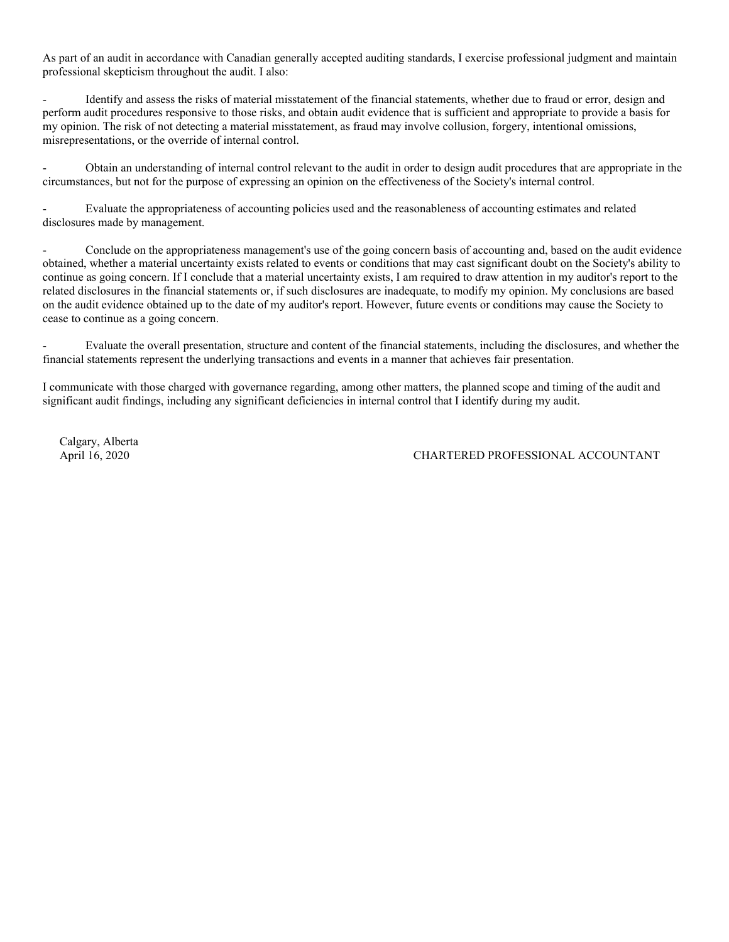As part of an audit in accordance with Canadian generally accepted auditing standards, I exercise professional judgment and maintain professional skepticism throughout the audit. I also:

- Identify and assess the risks of material misstatement of the financial statements, whether due to fraud or error, design and perform audit procedures responsive to those risks, and obtain audit evidence that is sufficient and appropriate to provide a basis for my opinion. The risk of not detecting a material misstatement, as fraud may involve collusion, forgery, intentional omissions, misrepresentations, or the override of internal control.

- Obtain an understanding of internal control relevant to the audit in order to design audit procedures that are appropriate in the circumstances, but not for the purpose of expressing an opinion on the effectiveness of the Society's internal control.

- Evaluate the appropriateness of accounting policies used and the reasonableness of accounting estimates and related disclosures made by management.

- Conclude on the appropriateness management's use of the going concern basis of accounting and, based on the audit evidence obtained, whether a material uncertainty exists related to events or conditions that may cast significant doubt on the Society's ability to continue as going concern. If I conclude that a material uncertainty exists, I am required to draw attention in my auditor's report to the related disclosures in the financial statements or, if such disclosures are inadequate, to modify my opinion. My conclusions are based on the audit evidence obtained up to the date of my auditor's report. However, future events or conditions may cause the Society to cease to continue as a going concern.

- Evaluate the overall presentation, structure and content of the financial statements, including the disclosures, and whether the financial statements represent the underlying transactions and events in a manner that achieves fair presentation.

I communicate with those charged with governance regarding, among other matters, the planned scope and timing of the audit and significant audit findings, including any significant deficiencies in internal control that I identify during my audit.

Calgary, Alberta

April 16, 2020 CHARTERED PROFESSIONAL ACCOUNTANT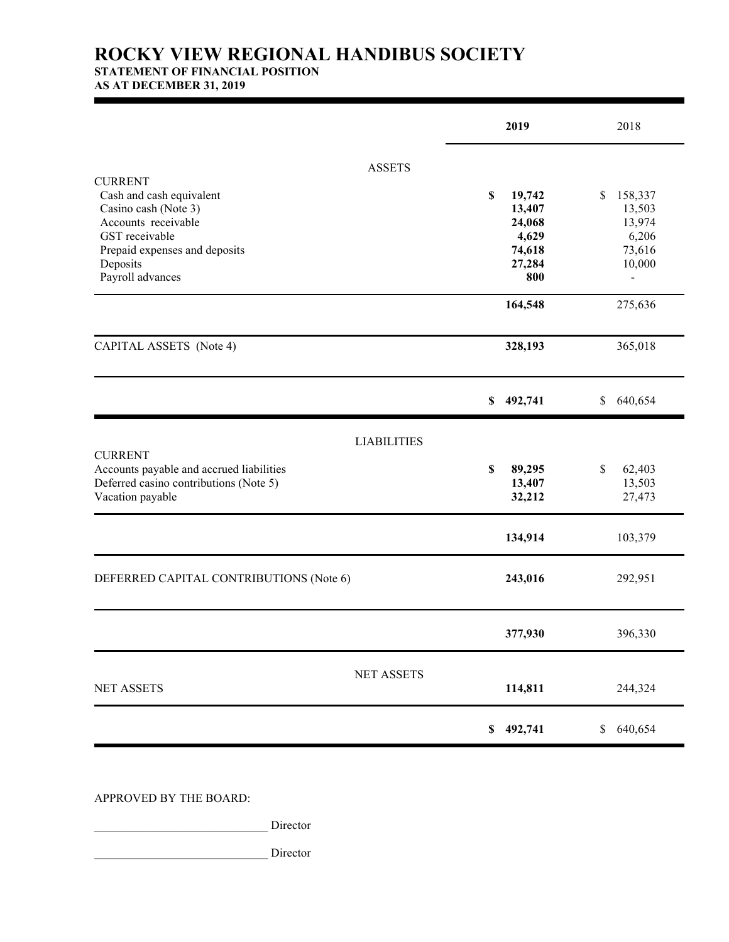## **STATEMENT OF FINANCIAL POSITION**

**AS AT DECEMBER 31, 2019**

|                                                                                                                                                                              | 2019                                                                                        | 2018                                                                 |
|------------------------------------------------------------------------------------------------------------------------------------------------------------------------------|---------------------------------------------------------------------------------------------|----------------------------------------------------------------------|
| <b>ASSETS</b>                                                                                                                                                                |                                                                                             |                                                                      |
| <b>CURRENT</b><br>Cash and cash equivalent<br>Casino cash (Note 3)<br>Accounts receivable<br>GST receivable<br>Prepaid expenses and deposits<br>Deposits<br>Payroll advances | $\boldsymbol{\mathsf{S}}$<br>19,742<br>13,407<br>24,068<br>4,629<br>74,618<br>27,284<br>800 | \$<br>158,337<br>13,503<br>13,974<br>6,206<br>73,616<br>10,000<br>÷, |
|                                                                                                                                                                              | 164,548                                                                                     | 275,636                                                              |
| CAPITAL ASSETS (Note 4)                                                                                                                                                      | 328,193                                                                                     | 365,018                                                              |
|                                                                                                                                                                              | \$<br>492,741                                                                               | \$<br>640,654                                                        |
| <b>LIABILITIES</b>                                                                                                                                                           |                                                                                             |                                                                      |
| <b>CURRENT</b><br>Accounts payable and accrued liabilities<br>Deferred casino contributions (Note 5)<br>Vacation payable                                                     | $\mathbf S$<br>89,295<br>13,407<br>32,212                                                   | $\mathcal{S}$<br>62,403<br>13,503<br>27,473                          |
|                                                                                                                                                                              | 134,914                                                                                     | 103,379                                                              |
| DEFERRED CAPITAL CONTRIBUTIONS (Note 6)                                                                                                                                      | 243,016                                                                                     | 292,951                                                              |
|                                                                                                                                                                              | 377,930                                                                                     | 396,330                                                              |
| <b>NET ASSETS</b><br><b>NET ASSETS</b>                                                                                                                                       | 114,811                                                                                     | 244,324                                                              |
|                                                                                                                                                                              | 492,741<br>\$                                                                               | \$640,654                                                            |

APPROVED BY THE BOARD:

\_\_\_\_\_\_\_\_\_\_\_\_\_\_\_\_\_\_\_\_\_\_\_\_\_\_\_\_\_ Director

Director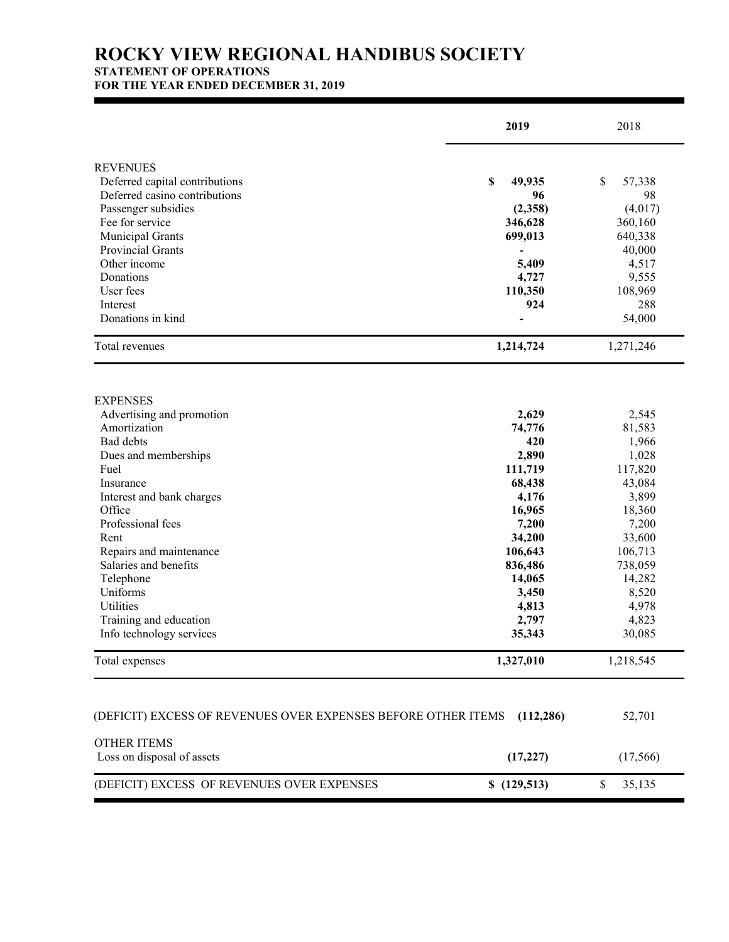## **STATEMENT OF OPERATIONS**

**FOR THE YEAR ENDED DECEMBER 31, 2019**

|                                                               | 2019         | 2018         |  |  |
|---------------------------------------------------------------|--------------|--------------|--|--|
| <b>REVENUES</b>                                               |              |              |  |  |
| Deferred capital contributions                                | \$<br>49,935 | \$<br>57,338 |  |  |
| Deferred casino contributions                                 | 96           | 98           |  |  |
| Passenger subsidies                                           | (2,358)      | (4,017)      |  |  |
| Fee for service                                               | 346,628      | 360,160      |  |  |
| Municipal Grants                                              | 699,013      | 640,338      |  |  |
| <b>Provincial Grants</b>                                      |              | 40,000       |  |  |
| Other income                                                  | 5,409        | 4,517        |  |  |
| Donations                                                     | 4,727        | 9,555        |  |  |
| User fees                                                     | 110,350      | 108,969      |  |  |
| Interest                                                      | 924          | 288          |  |  |
| Donations in kind                                             | ۰            | 54,000       |  |  |
|                                                               |              |              |  |  |
| Total revenues                                                | 1,214,724    | 1,271,246    |  |  |
| <b>EXPENSES</b>                                               |              |              |  |  |
| Advertising and promotion                                     | 2,629        | 2,545        |  |  |
| Amortization                                                  | 74,776       | 81,583       |  |  |
| Bad debts                                                     | 420          | 1,966        |  |  |
| Dues and memberships                                          | 2,890        | 1,028        |  |  |
| Fuel                                                          | 111,719      | 117,820      |  |  |
| Insurance                                                     | 68,438       | 43,084       |  |  |
| Interest and bank charges                                     | 4,176        | 3,899        |  |  |
| Office                                                        | 16,965       | 18,360       |  |  |
| Professional fees                                             | 7,200        | 7,200        |  |  |
| Rent                                                          | 34,200       | 33,600       |  |  |
| Repairs and maintenance                                       | 106,643      | 106,713      |  |  |
| Salaries and benefits                                         | 836,486      | 738,059      |  |  |
| Telephone                                                     | 14,065       | 14,282       |  |  |
| Uniforms                                                      | 3,450        | 8,520        |  |  |
| Utilities                                                     | 4,813        | 4,978        |  |  |
| Training and education                                        | 2,797        | 4,823        |  |  |
| Info technology services                                      | 35,343       | 30,085       |  |  |
| Total expenses                                                | 1,327,010    | 1,218,545    |  |  |
| (DEFICIT) EXCESS OF REVENUES OVER EXPENSES BEFORE OTHER ITEMS | (112, 286)   | 52,701       |  |  |
| <b>OTHER ITEMS</b>                                            |              |              |  |  |
| Loss on disposal of assets                                    | (17, 227)    | (17,566)     |  |  |
| (DEFICIT) EXCESS OF REVENUES OVER EXPENSES                    | \$(129,513)  | \$<br>35,135 |  |  |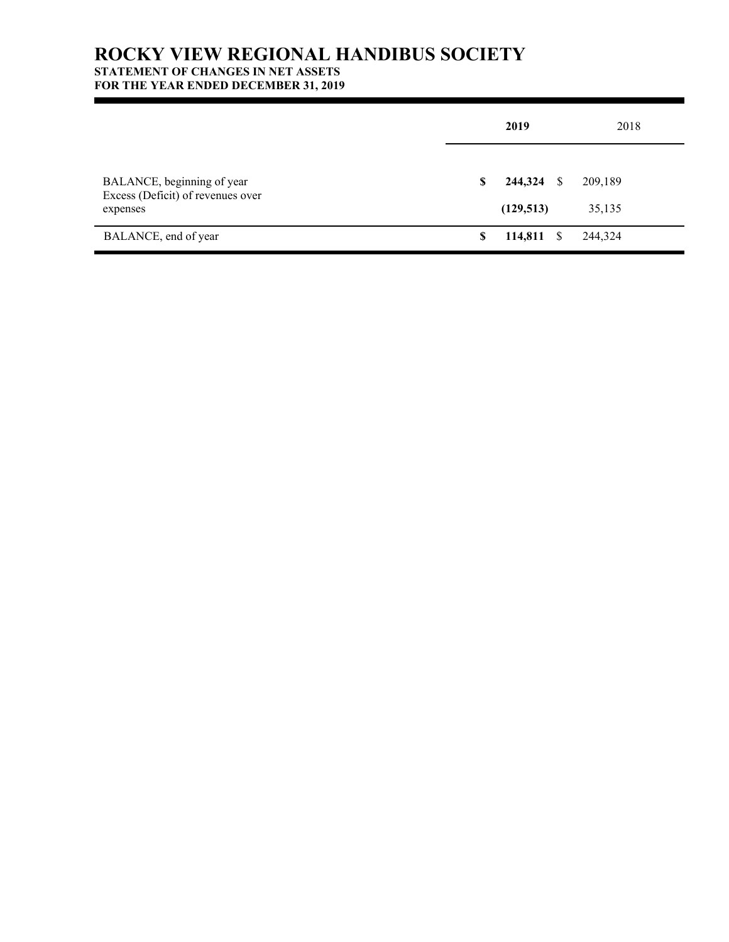## **STATEMENT OF CHANGES IN NET ASSETS**

**FOR THE YEAR ENDED DECEMBER 31, 2019**

|                                                                             | 2019                          | 2018              |
|-----------------------------------------------------------------------------|-------------------------------|-------------------|
| BALANCE, beginning of year<br>Excess (Deficit) of revenues over<br>expenses | 244,324 \$<br>S<br>(129, 513) | 209,189<br>35,135 |
| BALANCE, end of year                                                        | $114,811$ \$                  | 244,324           |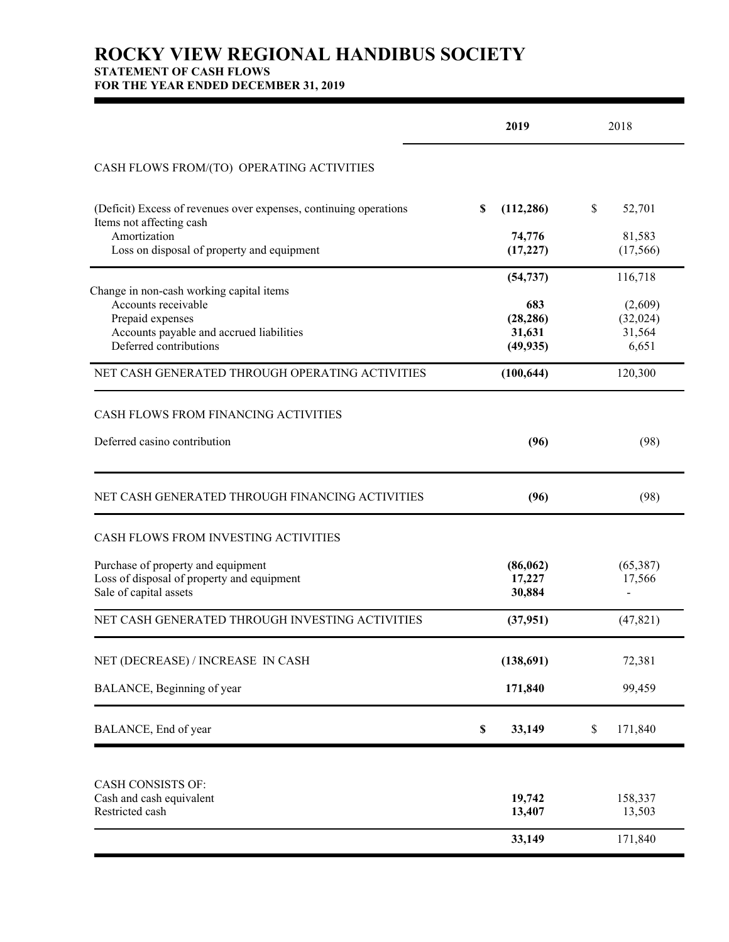## **STATEMENT OF CASH FLOWS**

**FOR THE YEAR ENDED DECEMBER 31, 2019**

|                                                                                                            | 2019                         | 2018                |
|------------------------------------------------------------------------------------------------------------|------------------------------|---------------------|
| CASH FLOWS FROM/(TO) OPERATING ACTIVITIES                                                                  |                              |                     |
| (Deficit) Excess of revenues over expenses, continuing operations<br>Items not affecting cash              | \$<br>(112, 286)             | \$<br>52,701        |
| Amortization<br>Loss on disposal of property and equipment                                                 | 74,776<br>(17,227)           | 81,583<br>(17,566)  |
| Change in non-cash working capital items                                                                   | (54, 737)                    | 116,718             |
| Accounts receivable                                                                                        | 683                          | (2,609)             |
| Prepaid expenses<br>Accounts payable and accrued liabilities                                               | (28, 286)<br>31,631          | (32,024)<br>31,564  |
| Deferred contributions                                                                                     | (49, 935)                    | 6,651               |
| NET CASH GENERATED THROUGH OPERATING ACTIVITIES                                                            | (100, 644)                   | 120,300             |
| CASH FLOWS FROM FINANCING ACTIVITIES                                                                       |                              |                     |
| Deferred casino contribution                                                                               | (96)                         | (98)                |
| NET CASH GENERATED THROUGH FINANCING ACTIVITIES                                                            | (96)                         | (98)                |
| CASH FLOWS FROM INVESTING ACTIVITIES                                                                       |                              |                     |
| Purchase of property and equipment<br>Loss of disposal of property and equipment<br>Sale of capital assets | (86,062)<br>17,227<br>30,884 | (65, 387)<br>17,566 |
| NET CASH GENERATED THROUGH INVESTING ACTIVITIES                                                            | (37, 951)                    | (47, 821)           |
| NET (DECREASE) / INCREASE IN CASH                                                                          | (138,691)                    | 72,381              |
| BALANCE, Beginning of year                                                                                 | 171,840                      | 99,459              |
| BALANCE, End of year                                                                                       | 33,149<br>\$                 | \$<br>171,840       |
|                                                                                                            |                              |                     |
| <b>CASH CONSISTS OF:</b><br>Cash and cash equivalent                                                       | 19,742                       | 158,337             |
| Restricted cash                                                                                            | 13,407                       | 13,503              |
|                                                                                                            | 33,149                       | 171,840             |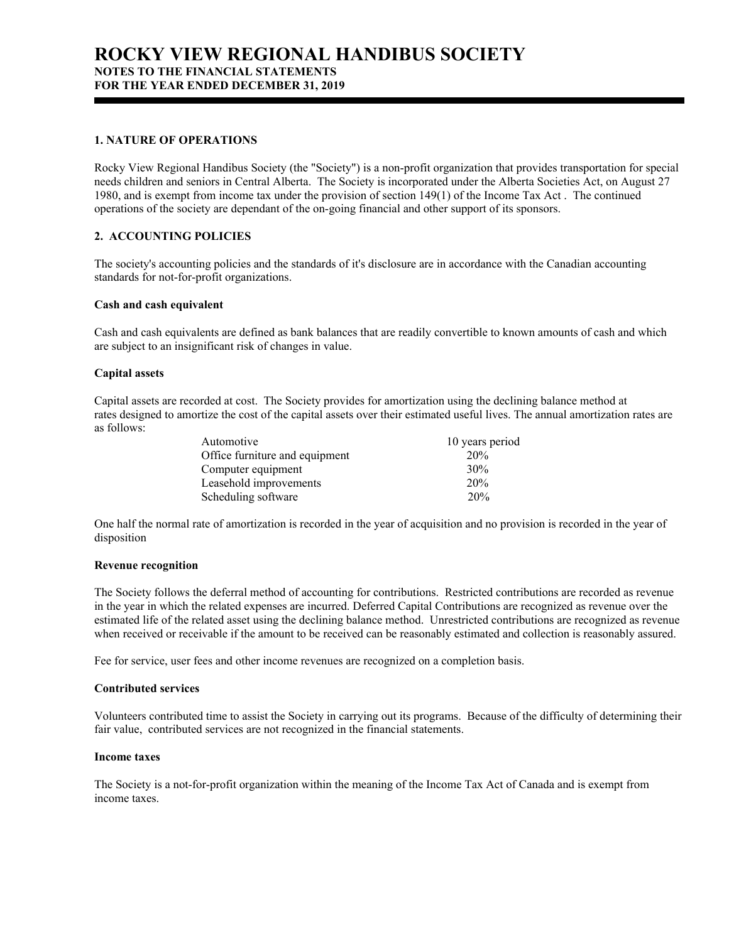#### **1. NATURE OF OPERATIONS**

Rocky View Regional Handibus Society (the "Society") is a non-profit organization that provides transportation for special needs children and seniors in Central Alberta. The Society is incorporated under the Alberta Societies Act, on August 27 1980, and is exempt from income tax under the provision of section 149(1) of the Income Tax Act . The continued operations of the society are dependant of the on-going financial and other support of its sponsors.

#### **2. ACCOUNTING POLICIES**

The society's accounting policies and the standards of it's disclosure are in accordance with the Canadian accounting standards for not-for-profit organizations.

#### **Cash and cash equivalent**

Cash and cash equivalents are defined as bank balances that are readily convertible to known amounts of cash and which are subject to an insignificant risk of changes in value.

#### **Capital assets**

Capital assets are recorded at cost. The Society provides for amortization using the declining balance method at rates designed to amortize the cost of the capital assets over their estimated useful lives. The annual amortization rates are as follows:

| Automotive                     | 10 years period |
|--------------------------------|-----------------|
| Office furniture and equipment | 20%             |
| Computer equipment             | 30%             |
| Leasehold improvements         | 20%             |
| Scheduling software            | 20%             |

One half the normal rate of amortization is recorded in the year of acquisition and no provision is recorded in the year of disposition

#### **Revenue recognition**

The Society follows the deferral method of accounting for contributions. Restricted contributions are recorded as revenue in the year in which the related expenses are incurred. Deferred Capital Contributions are recognized as revenue over the estimated life of the related asset using the declining balance method. Unrestricted contributions are recognized as revenue when received or receivable if the amount to be received can be reasonably estimated and collection is reasonably assured.

Fee for service, user fees and other income revenues are recognized on a completion basis.

#### **Contributed services**

Volunteers contributed time to assist the Society in carrying out its programs. Because of the difficulty of determining their fair value, contributed services are not recognized in the financial statements.

#### **Income taxes**

The Society is a not-for-profit organization within the meaning of the Income Tax Act of Canada and is exempt from income taxes.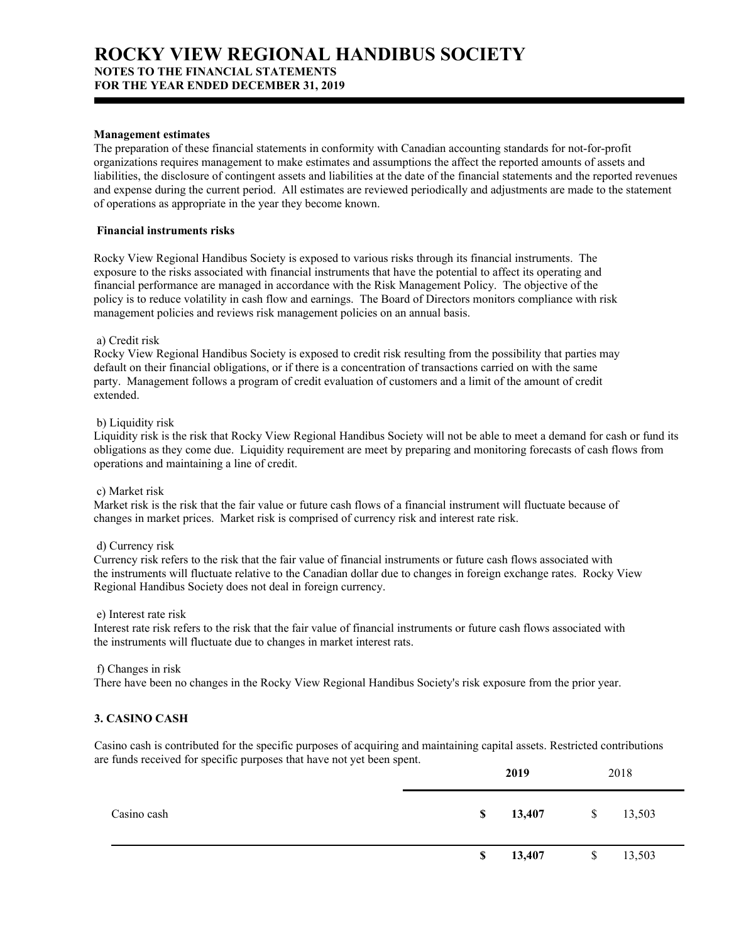#### **Management estimates**

The preparation of these financial statements in conformity with Canadian accounting standards for not-for-profit organizations requires management to make estimates and assumptions the affect the reported amounts of assets and liabilities, the disclosure of contingent assets and liabilities at the date of the financial statements and the reported revenues and expense during the current period. All estimates are reviewed periodically and adjustments are made to the statement of operations as appropriate in the year they become known.

#### **Financial instruments risks**

Rocky View Regional Handibus Society is exposed to various risks through its financial instruments. The exposure to the risks associated with financial instruments that have the potential to affect its operating and financial performance are managed in accordance with the Risk Management Policy. The objective of the policy is to reduce volatility in cash flow and earnings. The Board of Directors monitors compliance with risk management policies and reviews risk management policies on an annual basis.

#### a) Credit risk

Rocky View Regional Handibus Society is exposed to credit risk resulting from the possibility that parties may default on their financial obligations, or if there is a concentration of transactions carried on with the same party. Management follows a program of credit evaluation of customers and a limit of the amount of credit extended.

#### b) Liquidity risk

Liquidity risk is the risk that Rocky View Regional Handibus Society will not be able to meet a demand for cash or fund its obligations as they come due. Liquidity requirement are meet by preparing and monitoring forecasts of cash flows from operations and maintaining a line of credit.

#### c) Market risk

Market risk is the risk that the fair value or future cash flows of a financial instrument will fluctuate because of changes in market prices. Market risk is comprised of currency risk and interest rate risk.

#### d) Currency risk

Currency risk refers to the risk that the fair value of financial instruments or future cash flows associated with the instruments will fluctuate relative to the Canadian dollar due to changes in foreign exchange rates. Rocky View Regional Handibus Society does not deal in foreign currency.

#### e) Interest rate risk

Interest rate risk refers to the risk that the fair value of financial instruments or future cash flows associated with the instruments will fluctuate due to changes in market interest rats.

#### f) Changes in risk

There have been no changes in the Rocky View Regional Handibus Society's risk exposure from the prior year.

#### **3. CASINO CASH**

Casino cash is contributed for the specific purposes of acquiring and maintaining capital assets. Restricted contributions are funds received for specific purposes that have not yet been spent.

|             | 2019 |        | 2018         |        |  |
|-------------|------|--------|--------------|--------|--|
| Casino cash | S,   | 13,407 | $\mathbb{S}$ | 13,503 |  |
|             | \$   | 13,407 | \$           | 13,503 |  |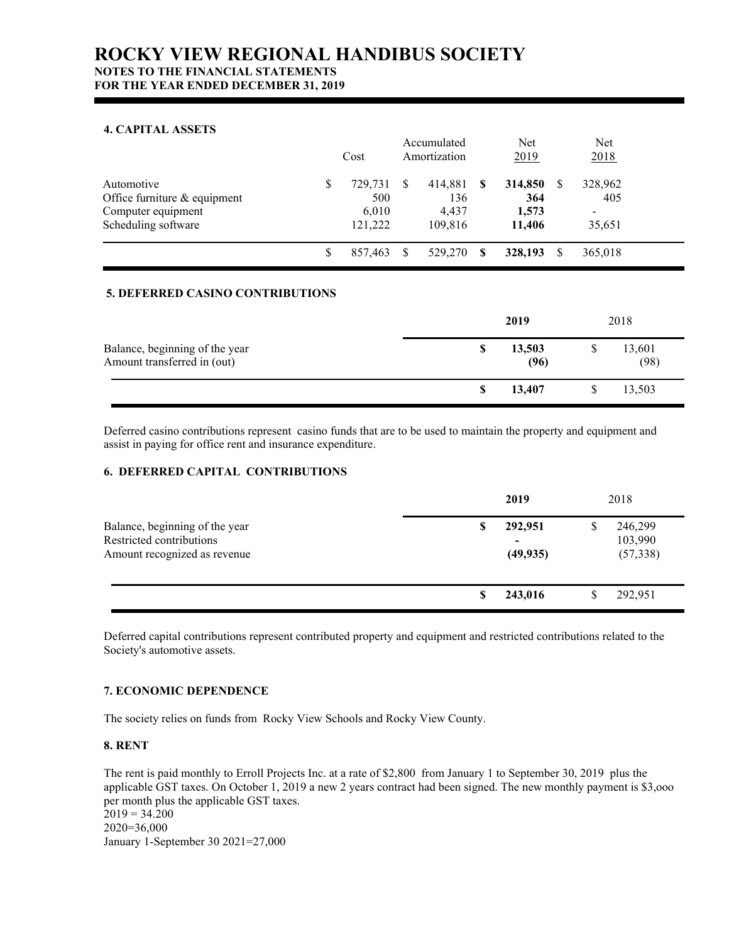#### **4. CAPITAL ASSETS**

|                                | Cost    |   | Accumulated<br>Amortization |          | Net<br>2019 | Net<br>2018              |  |
|--------------------------------|---------|---|-----------------------------|----------|-------------|--------------------------|--|
| Automotive                     | 729,731 | S | 414.881                     | S        | 314,850     | 328,962                  |  |
| Office furniture $&$ equipment | 500     |   | 136                         |          | 364         | 405                      |  |
| Computer equipment             | 6,010   |   | 4.437                       |          | 1,573       | $\overline{\phantom{a}}$ |  |
| Scheduling software            | 121,222 |   | 109,816                     |          | 11.406      | 35,651                   |  |
|                                | 857.463 |   | 529,270                     | <b>S</b> | 328,193     | 365,018                  |  |

#### **5. DEFERRED CASINO CONTRIBUTIONS**

| Balance, beginning of the year<br>Amount transferred in (out) | 2019 |                |  | 2018           |
|---------------------------------------------------------------|------|----------------|--|----------------|
|                                                               |      | 13,503<br>(96) |  | 13,601<br>(98) |
|                                                               |      | 13,407         |  | 13,503         |

Deferred casino contributions represent casino funds that are to be used to maintain the property and equipment and assist in paying for office rent and insurance expenditure.

### **6. DEFERRED CAPITAL CONTRIBUTIONS**

|                                                                                            | 2019                                                   | 2018                            |
|--------------------------------------------------------------------------------------------|--------------------------------------------------------|---------------------------------|
| Balance, beginning of the year<br>Restricted contributions<br>Amount recognized as revenue | \$<br>292,951<br>$\overline{\phantom{0}}$<br>(49, 935) | 246,299<br>103,990<br>(57, 338) |
|                                                                                            | \$<br>243,016                                          | 292,951                         |

Deferred capital contributions represent contributed property and equipment and restricted contributions related to the Society's automotive assets.

#### **7. ECONOMIC DEPENDENCE**

The society relies on funds from Rocky View Schools and Rocky View County.

### **8. RENT**

The rent is paid monthly to Erroll Projects Inc. at a rate of \$2,800 from January 1 to September 30, 2019 plus the applicable GST taxes. On October 1, 2019 a new 2 years contract had been signed. The new monthly payment is \$3,ooo per month plus the applicable GST taxes.  $2019 = 34.200$ 2020=36,000 January 1-September 30 2021=27,000